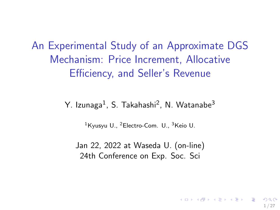<span id="page-0-0"></span>An Experimental Study of an Approximate DGS Mechanism: Price Increment, Allocative Efficiency, and Seller's Revenue

Y. Izunaga<sup>1</sup>, S. Takahashi<sup>2</sup>, N. Watanabe<sup>3</sup>

 $1$ Kyusyu U.,  $2$ Electro-Com. U.,  $3$ Keio U.

Jan 22, 2022 at Waseda U. (on-line) 24th Conference on Exp. Soc. Sci

1 / 27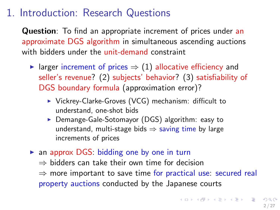## 1. Introduction: Research Questions

Question: To find an appropriate increment of prices under an approximate DGS algorithm in simultaneous ascending auctions with bidders under the unit-demand constraint

- In larger increment of prices  $\Rightarrow$  (1) allocative efficiency and seller's revenue? (2) subjects' behavior? (3) satisfiability of DGS boundary formula (approximation error)?
	- $\triangleright$  Vickrey-Clarke-Groves (VCG) mechanism: difficult to understand, one-shot bids
	- ▶ Demange-Gale-Sotomayor (DGS) algorithm: easy to understand, multi-stage bids  $\Rightarrow$  saving time by large increments of prices
- $\triangleright$  an approx DGS: bidding one by one in turn  $\Rightarrow$  bidders can take their own time for decision  $\Rightarrow$  more important to save time for practical use: secured real property auctions conducted by the Japanese courts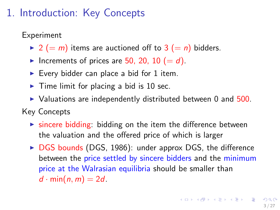# <span id="page-2-0"></span>1. Introduction: Key Concepts

Experiment

- $\triangleright$  2 (= m) items are auctioned off to 3 (= n) bidders.
- Increments of prices are 50, 20, 10 (=  $d$ ).
- Every bidder can place a bid for 1 item.
- $\blacktriangleright$  Time limit for placing a bid is 10 sec.
- $\triangleright$  Valuations are independently distributed between 0 and 500.

Key Concepts

- $\triangleright$  sincere bidding: bidding on the item the difference between the valuation and the offered price of which is larger
- $\triangleright$  DGS bounds (DGS, 1986): under approx DGS, the difference between the price settled by sincere bidders and the minimum price at the Walrasian equilibria should be smaller than  $d \cdot min(n, m) = 2d$ .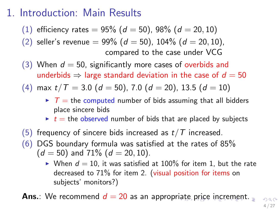## <span id="page-3-0"></span>1. Introduction: Main Results

- (1) efficiency rates  $= 95\%$  ( $d = 50$ ), 98% ( $d = 20, 10$ )
- (2) seller's revenue =  $99\%$  (d = 50), 104% (d = 20, 10), compared to the case under VCG
- (3) When  $d = 50$ , significantly more cases of overbids and underbids  $\Rightarrow$  large standard deviation in the case of  $d = 50$

$$
(4) \ \max t / T = 3.0 \ (d = 50), \ 7.0 \ (d = 20), \ 13.5 \ (d = 10)
$$

- $\triangleright$   $\tau$  = the computed number of bids assuming that all bidders place sincere bids
- $\rightarrow t$  t = the observed number of bids that are placed by subjects
- $(5)$  frequency of sincere bids increased as  $t/T$  increased.
- $(6)$  DGS boundary formula was satisfied at the rates of 85%  $(d = 50)$  and 71%  $(d = 20, 10)$ .
	- $\blacktriangleright$  When  $d = 10$ , it was satisfied at 100% for item 1, but the rate decreased to 71% for item 2. (visual position for items on subjects' monitors?)

**Ans.:** W[e](#page-4-0) r[e](#page-4-0)co[m](#page-0-0)m[en](#page-26-0)d  $d = 20$  as an appropr[iat](#page-2-0)e [pr](#page-2-0)[ic](#page-3-0)e [in](#page-0-0)[cre](#page-26-0)men[t.](#page-0-0)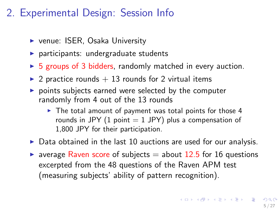# <span id="page-4-0"></span>2. Experimental Design: Session Info

- $\triangleright$  venue: ISER, Osaka University
- $\blacktriangleright$  participants: undergraduate students
- $\triangleright$  5 groups of 3 bidders, randomly matched in every auction.
- $\triangleright$  2 practice rounds  $+$  13 rounds for 2 virtual items
- $\triangleright$  points subjects earned were selected by the computer randomly from 4 out of the 13 rounds
	- $\triangleright$  The total amount of payment was total points for those 4 rounds in JPY (1 point  $=$  1 JPY) plus a compensation of 1,800 JPY for their participation.
- $\triangleright$  Data obtained in the last 10 auctions are used for our analysis.
- **Ex** average Raven score of subjects  $=$  about 12.5 for 16 questions excerpted from the 48 questions of the Raven APM test (measuring subjects' ability of pattern recognition).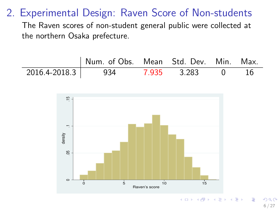## 2. Experimental Design: Raven Score of Non-students

The Raven scores of non-student general public were collected at the northern Osaka prefecture.





 $\Omega$ 6 / 27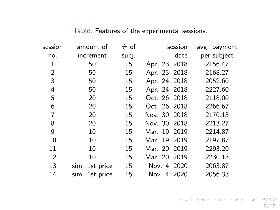| session        | amount of      | # of  | session       | avg. payment |
|----------------|----------------|-------|---------------|--------------|
| no.            | increment      | subj. | date          | per subject  |
| 1              | 50             | 15    | Apr. 23, 2018 | 2156.47      |
| $\overline{2}$ | 50             | 15    | Apr. 23, 2018 | 2168.27      |
| 3              | 50             | 15    | Apr. 24, 2018 | 2052.60      |
| 4              | 50             | 15    | Apr. 24, 2018 | 2227.60      |
| 5              | 20             | 15    | Oct. 26, 2018 | 2118.00      |
| 6              | 20             | 15    | Oct. 26, 2018 | 2266.67      |
| 7              | 20             | 15    | Nov. 30, 2018 | 2170.13      |
| 8              | 20             | 15    | Nov. 30, 2018 | 2213.27      |
| 9              | 10             | 15    | Mar. 19, 2019 | 2214.87      |
| 10             | 10             | 15    | Mar. 19, 2019 | 2197.87      |
| 11             | 10             | 15    | Mar. 20, 2019 | 2293.20      |
| 12             | 10             | 15    | Mar. 20, 2019 | 2230.13      |
| 13             | sim. 1st price | 15    | Nov. 4, 2020  | 2063.87      |
| 14             | sim. 1st price | 15    | Nov. 4, 2020  | 2056.33      |

Table: Features of the experimental sessions.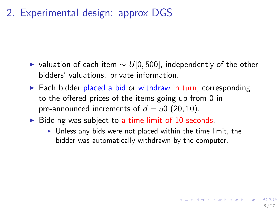2. Experimental design: approx DGS

- $\triangleright$  valuation of each item  $\sim U[0, 500]$ , independently of the other bidders' valuations. private information.
- $\triangleright$  Each bidder placed a bid or withdraw in turn, corresponding to the offered prices of the items going up from 0 in pre-announced increments of  $d = 50$  (20, 10).
- $\triangleright$  Bidding was subject to a time limit of 10 seconds.
	- $\triangleright$  Unless any bids were not placed within the time limit, the bidder was automatically withdrawn by the computer.

8 / 27

 $\mathbf{A} \otimes \mathbf{B} \rightarrow \mathbf{A} \otimes \mathbf{B} \rightarrow \mathbf{A} \otimes \mathbf{B} \rightarrow \mathbf{A} \otimes \mathbf{B} \rightarrow \mathbf{B} \otimes \mathbf{B}$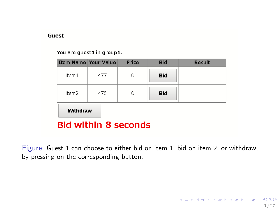#### <span id="page-8-0"></span>Guest

### You are guest1 in group1.

| <b>Item Name Your Value</b> |     | Price | <b>Bid</b> | Result |  |  |  |  |
|-----------------------------|-----|-------|------------|--------|--|--|--|--|
| item 1                      | 477 | n     | <b>Bid</b> |        |  |  |  |  |
| item <sub>2</sub>           | 475 | n     | <b>Bid</b> |        |  |  |  |  |
| Withdraw                    |     |       |            |        |  |  |  |  |
| <b>Bid within 8 seconds</b> |     |       |            |        |  |  |  |  |

Figure: Guest 1 can choose to either bid on item 1, bid on item 2, or withdraw, by pressing on the corresponding button.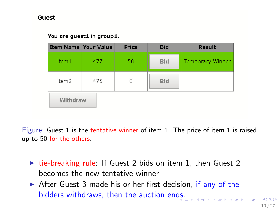### Guest

### You are guest1 in group1.

| <b>Item Name Your Value</b> |     | Price | <b>Bid</b> | Result           |
|-----------------------------|-----|-------|------------|------------------|
| item 1                      | 477 | 50    | <b>Bid</b> | Temporary Winner |
| item <sub>2</sub>           | 475 | 0     | <b>Bid</b> |                  |
| Withdraw                    |     |       |            |                  |

Figure: Guest 1 is the tentative winner of item 1. The price of item 1 is raised up to 50 for the others.

- $\triangleright$  tie-breaking rule: If Guest 2 bids on item 1, then Guest 2 becomes the new tentative winner.
- $\triangleright$  After Guest 3 made his or her first decision, if any of the bidders withdraws, then the auction en[ds.](#page-8-0)

 $OQ$ 10 / 27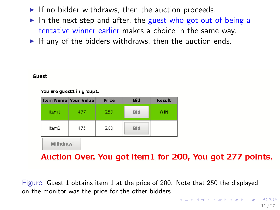- If no bidder withdraws, then the auction proceeds.
- In the next step and after, the guest who got out of being a tentative winner earlier makes a choice in the same way.
- If any of the bidders withdraws, then the auction ends.

#### Guest

You are quest1 in group1.

| <b>Item Name Your Value</b> |     | Price | <b>Bid</b> | <b>Result</b> |
|-----------------------------|-----|-------|------------|---------------|
| item 1                      | 477 | 250   | <b>Bid</b> | WIN           |
| item <sub>2</sub>           | 475 | 200   | <b>Bid</b> |               |
| Withdraw                    |     |       |            |               |

Auction Over. You got item1 for 200, You got 277 points.

Figure: Guest 1 obtains item 1 at the price of 200. Note that 250 the displayed on the monitor was the price for the other bidders.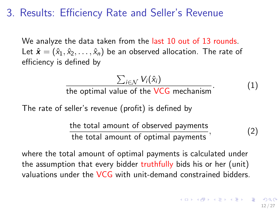## 3. Results: Efficiency Rate and Seller's Revenue

We analyze the data taken from the last 10 out of 13 rounds. Let  $\hat{\mathbf{x}} = (\hat{x}_1, \hat{x}_2, \dots, \hat{x}_n)$  be an observed allocation. The rate of efficiency is defined by

$$
\frac{\sum_{i \in \mathcal{N}} V_i(\hat{x}_i)}{\text{the optimal value of the VCG mechanism}}.
$$
 (1)

The rate of seller's revenue (profit) is defined by

the total amount of observed payments the total amount of optimal payments  $(2)$ 

where the total amount of optimal payments is calculated under the assumption that every bidder truthfully bids his or her (unit) valuations under the VCG with unit-demand constrained bidders.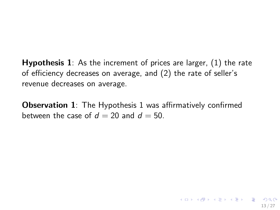Hypothesis 1: As the increment of prices are larger, (1) the rate of efficiency decreases on average, and (2) the rate of seller's revenue decreases on average.

**Observation 1:** The Hypothesis 1 was affirmatively confirmed between the case of  $d = 20$  and  $d = 50$ .

13 / 27

K ロ ▶ K @ ▶ K 할 ▶ K 할 ▶ → 할 → 9 Q @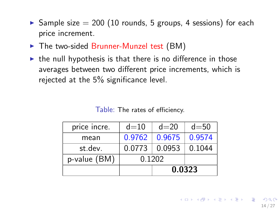- $\triangleright$  Sample size = 200 (10 rounds, 5 groups, 4 sessions) for each price increment.
- $\triangleright$  The two-sided Brunner-Munzel test (BM)
- $\triangleright$  the null hypothesis is that there is no difference in those averages between two different price increments, which is rejected at the 5% significance level.

| price incre. | $d=10$ | $d=20$            | $d = 50$ |  |
|--------------|--------|-------------------|----------|--|
| mean         | 0.9762 | 0.9675            | 0.9574   |  |
| st.dev.      |        | $0.0773$   0.0953 | 0.1044   |  |
| p-value (BM) | 0.1202 |                   |          |  |
|              |        | 0.0323            |          |  |

Table: The rates of efficiency.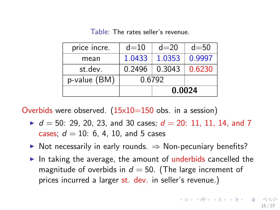Table: The rates seller's revenue.

| price incre. | $d=10$ | $d=20$ | $d = 50$ |  |  |
|--------------|--------|--------|----------|--|--|
| mean         | 1.0433 | 1.0353 | 0.9997   |  |  |
| st.dev.      | 0.2496 | 0.3043 | 0.6230   |  |  |
| p-value (BM) | 0.6792 |        |          |  |  |
|              |        | 0.0024 |          |  |  |

Overbids were observed.  $(15x10=150$  obs. in a session)

- $d = 50$ : 29, 20, 23, and 30 cases;  $d = 20$ : 11, 11, 14, and 7 cases:  $d = 10: 6, 4, 10,$  and 5 cases
- $\triangleright$  Not necessarily in early rounds.  $\Rightarrow$  Non-pecuniary benefits?
- In taking the average, the amount of underbids cancelled the magnitude of overbids in  $d = 50$ . (The large increment of prices incurred a larger st. dev. in seller's revenue.)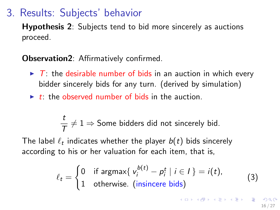## 3. Results: Subjects' behavior

Hypothesis 2: Subjects tend to bid more sincerely as auctions proceed.

### Observation2: Affirmatively confirmed.

- $\triangleright$  T: the desirable number of bids in an auction in which every bidder sincerely bids for any turn. (derived by simulation)
- $\rightarrow t$ : the observed number of bids in the auction.

$$
\frac{t}{T} \neq 1 \Rightarrow \text{Some bidders did not since rely bid.}
$$

The label  $\ell_t$  indicates whether the player  $b(t)$  bids sincerely according to his or her valuation for each item, that is,

$$
\ell_t = \begin{cases} 0 & \text{if } \text{argmax} \{ v_i^{b(t)} - p_i^t \mid i \in I \} = i(t), \\ 1 & \text{otherwise. (insince } \text{bids)} \end{cases}
$$
(3)

16 / 27

イロト 不優 ト 不差 ト 不差 トー 差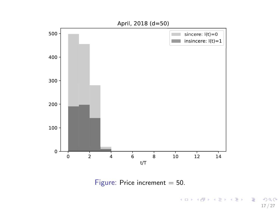

Figure: Price increment  $= 50$ .

メロトメ 御 トメ 君 トメ 君 トッ 君  $QQ$ 17 / 27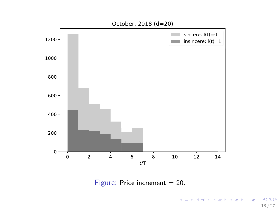

Figure: Price increment  $= 20$ .

K ロ X (日) X (日) X (日) X (日) X (日) X (日) X (日) X (日) X (日) X (日) X (日) X (日) 18 / 27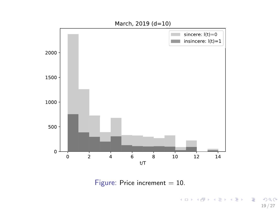

Figure: Price increment  $= 10$ .

K ロ X K 레 X K 회 X X 회 X 및 X X O Q Q O 19 / 27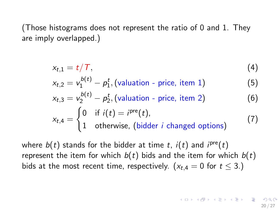(Those histograms does not represent the ratio of 0 and 1. They are imply overlapped.)

$$
x_{t,1}=t/T,\t\t(4)
$$

$$
x_{t,2} = v_1^{b(t)} - p_1^t
$$
, (valuation - price, item 1) \t\t(5)

$$
x_{t,3} = v_2^{b(t)} - p_2^t
$$
, (valuation - price, item 2) \t(6)  

$$
x_{t,4} = \begin{cases} 0 & \text{if } i(t) = i^{\text{pre}}(t), \\ 1 & \text{otherwise, (bidders } i \text{ changed options)} \end{cases}
$$
 (7)

where  $b(t)$  stands for the bidder at time t,  $i(t)$  and  $i^{pre}(t)$ represent the item for which  $b(t)$  bids and the item for which  $b(t)$ bids at the most recent time, respectively. ( $x_{t,4} = 0$  for  $t \le 3$ .)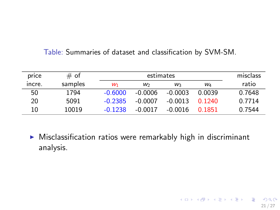### Table: Summaries of dataset and classification by SVM-SM.

| price  | $#$ of  |           | estimates |           |                       |        |  |
|--------|---------|-----------|-----------|-----------|-----------------------|--------|--|
| incre. | samples | W1        | W         | W         | <b>W</b> <sub>4</sub> | ratio  |  |
| 50     | 1794    | $-0.6000$ | $-0.0006$ | $-0.0003$ | 0.0039                | 0.7648 |  |
| 20     | 5091    | $-0.2385$ | $-0.0007$ | $-0.0013$ | በ 1240                | 0.7714 |  |
| 10     | 10019   | $-0.1238$ | -0.0017   | -0.0016   | 0.1851                | 0.7544 |  |

 $\triangleright$  Misclassification ratios were remarkably high in discriminant analysis.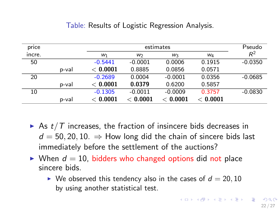### Table: Results of Logistic Regression Analysis.

| price  |       |           | estimates      |             |        |           |  |
|--------|-------|-----------|----------------|-------------|--------|-----------|--|
| incre. |       | $W_1$     | W <sub>2</sub> | W3          | W4     | $R^2$     |  |
| 50     |       | $-0.5441$ | $-0.0001$      | 0.0006      | 0.1915 | $-0.0350$ |  |
|        | p-val | < 0.0001  | 0.8885         | 0.0856      | 0.0571 |           |  |
| 20     |       | $-0.2689$ | 0.0004         | $-0.0001$   | 0.0356 | $-0.0685$ |  |
|        | p-val | < 0.0001  | 0.0379         | 0.6200      | 0.5857 |           |  |
| 10     |       | $-0.1305$ | $-0.0011$      | $-0.0009$   | 0.3757 | $-0.0830$ |  |
|        | p-val | 0.0001    | 0.0001         | $<\,0.0001$ | 0.0001 |           |  |

- As  $t/T$  increases, the fraction of insincere bids decreases in  $d = 50, 20, 10. \Rightarrow$  How long did the chain of sincere bids last immediately before the settlement of the auctions?
- $\triangleright$  When  $d = 10$ , bidders who changed options did not place sincere bids.
	- $\triangleright$  We observed this tendency also in the cases of  $d = 20, 10$ by using another statistical test.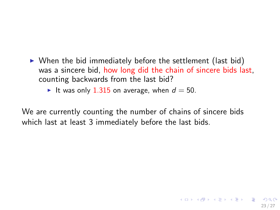- $\triangleright$  When the bid immediately before the settlement (last bid) was a sincere bid, how long did the chain of sincere bids last, counting backwards from the last bid?
	- It was only 1.315 on average, when  $d = 50$ .

We are currently counting the number of chains of sincere bids which last at least 3 immediately before the last bids.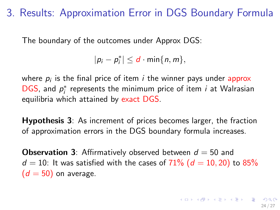3. Results: Approximation Error in DGS Boundary Formula

The boundary of the outcomes under Approx DGS:

 $|p_i - p_i^*| \le d \cdot \min\{n, m\},\$ 

where  $\boldsymbol{p}_i$  is the final price of item  $i$  the winner pays under  $\boldsymbol{\mathsf{approx}}$ DGS, and  $p_i^*$  represents the minimum price of item *i* at Walrasian equilibria which attained by exact DGS.

Hypothesis 3: As increment of prices becomes larger, the fraction of approximation errors in the DGS boundary formula increases.

**Observation 3**: Affirmatively observed between  $d = 50$  and  $d = 10$ : It was satisfied with the cases of 71% ( $d = 10, 20$ ) to 85%  $(d = 50)$  on average.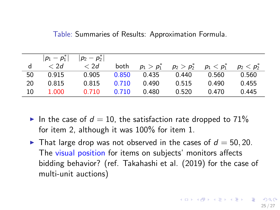Table: Summaries of Results: Approximation Formula.

|    | $ p_1-p_1^* $ | $ p_2 - p_2^* $ |       |               |               |               |               |
|----|---------------|-----------------|-------|---------------|---------------|---------------|---------------|
| d  | < 2d          | < 2d            | both  | $p_1 > p_1^*$ | $p_2 > p_2^*$ | $p_1 < p_1^*$ | $p_2 < p_2^*$ |
| 50 | 0.915         | 0.905           | 0.850 | 0.435         | 0.440         | 0.560         | 0.560         |
| 20 | 0.815         | 0.815           | 0.710 | 0.490         | 0.515         | 0.490         | 0.455         |
| 10 | 1.000         | 0.710           | 0.710 | 0.480         | 0.520         | 0.470         | 0.445         |

- In the case of  $d = 10$ , the satisfaction rate dropped to 71% for item 2, although it was 100% for item 1.
- In That large drop was not observed in the cases of  $d = 50, 20$ . The visual position for items on subjects' monitors affects bidding behavior? (ref. Takahashi et al. (2019) for the case of multi-unit auctions)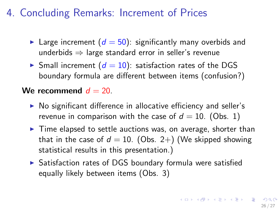# 4. Concluding Remarks: Increment of Prices

- In Large increment  $(d = 50)$ : significantly many overbids and underbids  $\Rightarrow$  large standard error in seller's revenue
- $\triangleright$  Small increment ( $d = 10$ ): satisfaction rates of the DGS boundary formula are different between items (confusion?)

### We recommend  $d = 20$ .

- $\triangleright$  No significant difference in allocative efficiency and seller's revenue in comparison with the case of  $d = 10$ . (Obs. 1)
- $\triangleright$  Time elapsed to settle auctions was, on average, shorter than that in the case of  $d = 10$ . (Obs. 2+) (We skipped showing statistical results in this presentation.)
- $\triangleright$  Satisfaction rates of DGS boundary formula were satisfied equally likely between items (Obs. 3)